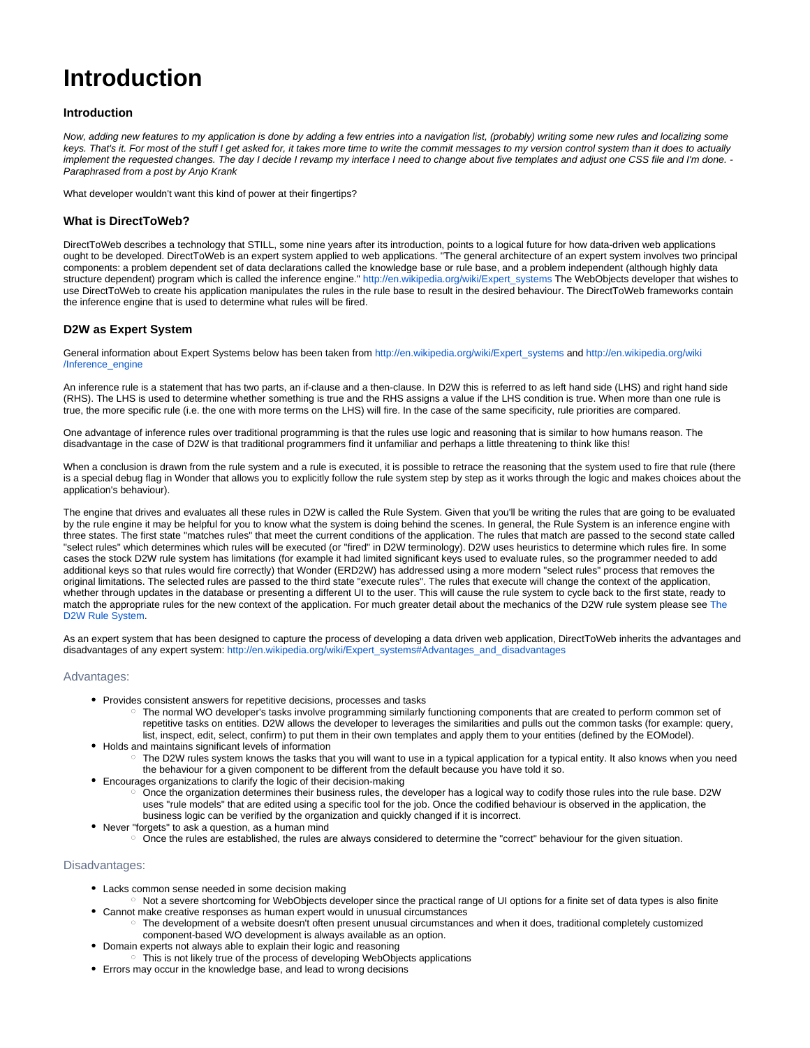# **Introduction**

# **Introduction**

Now, adding new features to my application is done by adding a few entries into a navigation list, (probably) writing some new rules and localizing some keys. That's it. For most of the stuff I get asked for, it takes more time to write the commit messages to my version control system than it does to actually implement the requested changes. The day I decide I revamp my interface I need to change about five templates and adjust one CSS file and I'm done. -Paraphrased from a post by Anjo Krank

What developer wouldn't want this kind of power at their fingertips?

### **What is DirectToWeb?**

DirectToWeb describes a technology that STILL, some nine years after its introduction, points to a logical future for how data-driven web applications ought to be developed. DirectToWeb is an expert system applied to web applications. "The general architecture of an expert system involves two principal components: a problem dependent set of data declarations called the knowledge base or rule base, and a problem independent (although highly data structure dependent) program which is called the inference engine." [http://en.wikipedia.org/wiki/Expert\\_systems](http://en.wikipedia.org/wiki/Expert_systems) The WebObjects developer that wishes to use DirectToWeb to create his application manipulates the rules in the rule base to result in the desired behaviour. The DirectToWeb frameworks contain the inference engine that is used to determine what rules will be fired.

## **D2W as Expert System**

General information about Expert Systems below has been taken from [http://en.wikipedia.org/wiki/Expert\\_systems](http://en.wikipedia.org/wiki/Expert_systems) and [http://en.wikipedia.org/wiki](http://en.wikipedia.org/wiki/Inference_engine) [/Inference\\_engine](http://en.wikipedia.org/wiki/Inference_engine)

An inference rule is a statement that has two parts, an if-clause and a then-clause. In D2W this is referred to as left hand side (LHS) and right hand side (RHS). The LHS is used to determine whether something is true and the RHS assigns a value if the LHS condition is true. When more than one rule is true, the more specific rule (i.e. the one with more terms on the LHS) will fire. In the case of the same specificity, rule priorities are compared.

One advantage of inference rules over traditional programming is that the rules use logic and reasoning that is similar to how humans reason. The disadvantage in the case of D2W is that traditional programmers find it unfamiliar and perhaps a little threatening to think like this!

When a conclusion is drawn from the rule system and a rule is executed, it is possible to retrace the reasoning that the system used to fire that rule (there is a special debug flag in Wonder that allows you to explicitly follow the rule system step by step as it works through the logic and makes choices about the application's behaviour).

The engine that drives and evaluates all these rules in D2W is called the Rule System. Given that you'll be writing the rules that are going to be evaluated by the rule engine it may be helpful for you to know what the system is doing behind the scenes. In general, the Rule System is an inference engine with three states. The first state "matches rules" that meet the current conditions of the application. The rules that match are passed to the second state called "select rules" which determines which rules will be executed (or "fired" in D2W terminology). D2W uses heuristics to determine which rules fire. In some cases the stock D2W rule system has limitations (for example it had limited significant keys used to evaluate rules, so the programmer needed to add additional keys so that rules would fire correctly) that Wonder (ERD2W) has addressed using a more modern "select rules" process that removes the original limitations. The selected rules are passed to the third state "execute rules". The rules that execute will change the context of the application, whether through updates in the database or presenting a different UI to the user. This will cause the rule system to cycle back to the first state, ready to match the appropriate rules for the new context of the application. For much greater detail about the mechanics of the D2W rule system please see [The](https://wiki.wocommunity.org/display/documentation/The+D2W+Rule+System)  [D2W Rule System](https://wiki.wocommunity.org/display/documentation/The+D2W+Rule+System).

As an expert system that has been designed to capture the process of developing a data driven web application, DirectToWeb inherits the advantages and disadvantages of any expert system: [http://en.wikipedia.org/wiki/Expert\\_systems#Advantages\\_and\\_disadvantages](http://en.wikipedia.org/wiki/Expert_systems#Advantages_and_disadvantages)

#### Advantages:

- Provides consistent answers for repetitive decisions, processes and tasks
	- The normal WO developer's tasks involve programming similarly functioning components that are created to perform common set of repetitive tasks on entities. D2W allows the developer to leverages the similarities and pulls out the common tasks (for example: query, list, inspect, edit, select, confirm) to put them in their own templates and apply them to your entities (defined by the EOModel).
- Holds and maintains significant levels of information ○ The D2W rules system knows the tasks that you will want to use in a typical application for a typical entity. It also knows when you need
	- the behaviour for a given component to be different from the default because you have told it so.
- Encourages organizations to clarify the logic of their decision-making  $\circ$  Once the organization determines their business rules, the developer has a logical way to codify those rules into the rule base. D2W uses "rule models" that are edited using a specific tool for the job. Once the codified behaviour is observed in the application, the business logic can be verified by the organization and quickly changed if it is incorrect.
- Never "forgets" to ask a question, as a human mind
	- Once the rules are established, the rules are always considered to determine the "correct" behaviour for the given situation.

### Disadvantages:

- Lacks common sense needed in some decision making
- o Not a severe shortcoming for WebObjects developer since the practical range of UI options for a finite set of data types is also finite Cannot make creative responses as human expert would in unusual circumstances
	- The development of a website doesn't often present unusual circumstances and when it does, traditional completely customized component-based WO development is always available as an option.
- Domain experts not always able to explain their logic and reasoning
- <sup>o</sup> This is not likely true of the process of developing WebObjects applications
- Errors may occur in the knowledge base, and lead to wrong decisions